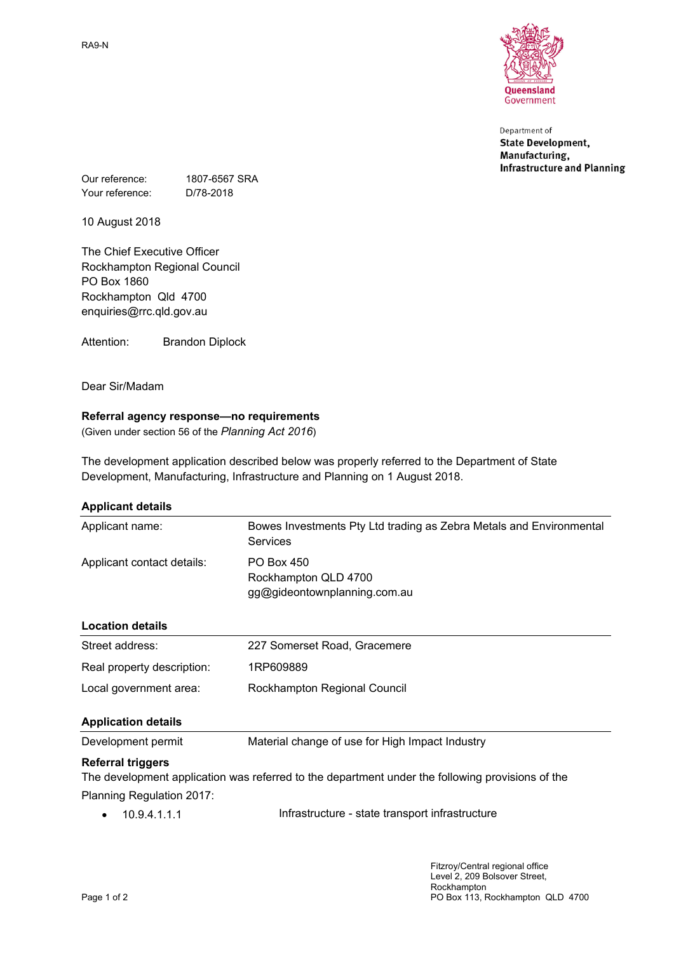RA9-N



Department of **State Development,** Manufacturing, **Infrastructure and Planning** 

Our reference: 1807-6567 SRA Your reference: D/78-2018

10 August 2018

The Chief Executive Officer Rockhampton Regional Council PO Box 1860 Rockhampton Qld 4700 enquiries@rrc.qld.gov.au

Attention: Brandon Diplock

Dear Sir/Madam

# **Referral agency response—no requirements**

(Given under section 56 of the *Planning Act 2016*)

The development application described below was properly referred to the Department of State Development, Manufacturing, Infrastructure and Planning on 1 August 2018.

| <b>Applicant details</b>   |                                                                                 |  |
|----------------------------|---------------------------------------------------------------------------------|--|
| Applicant name:            | Bowes Investments Pty Ltd trading as Zebra Metals and Environmental<br>Services |  |
| Applicant contact details: | PO Box 450<br>Rockhampton QLD 4700<br>gg@gideontownplanning.com.au              |  |
| <b>Location details</b>    |                                                                                 |  |
| Street address:            | 227 Somerset Road, Gracemere                                                    |  |
| Real property description: | 1RP609889                                                                       |  |
| Local government area:     | Rockhampton Regional Council                                                    |  |
| <b>Application details</b> |                                                                                 |  |
| Development permit         | Material change of use for High Impact Industry                                 |  |

# **Referral triggers**

The development application was referred to the department under the following provisions of the Planning Regulation 2017:

|  | $\bullet$ 10.9.4.1.1.1 | Infrastructure - state transport infrastructure |
|--|------------------------|-------------------------------------------------|
|--|------------------------|-------------------------------------------------|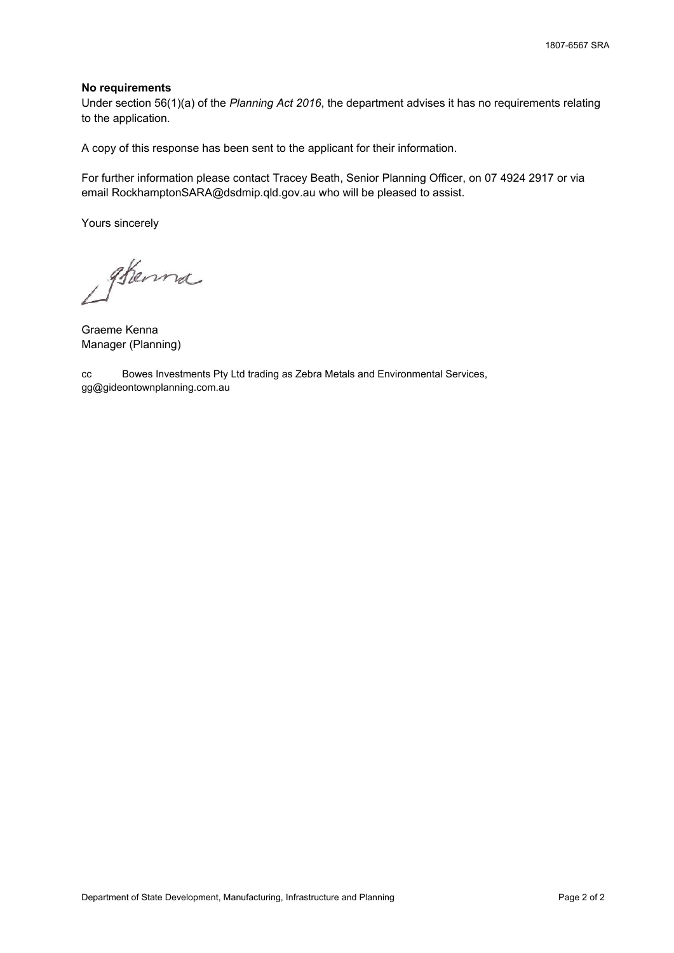#### **No requirements**

Under section 56(1)(a) of the *Planning Act 2016*, the department advises it has no requirements relating to the application.

A copy of this response has been sent to the applicant for their information.

For further information please contact Tracey Beath, Senior Planning Officer, on 07 4924 2917 or via email RockhamptonSARA@dsdmip.qld.gov.au who will be pleased to assist.

Yours sincerely

Sterna

Graeme Kenna Manager (Planning)

cc Bowes Investments Pty Ltd trading as Zebra Metals and Environmental Services, gg@gideontownplanning.com.au